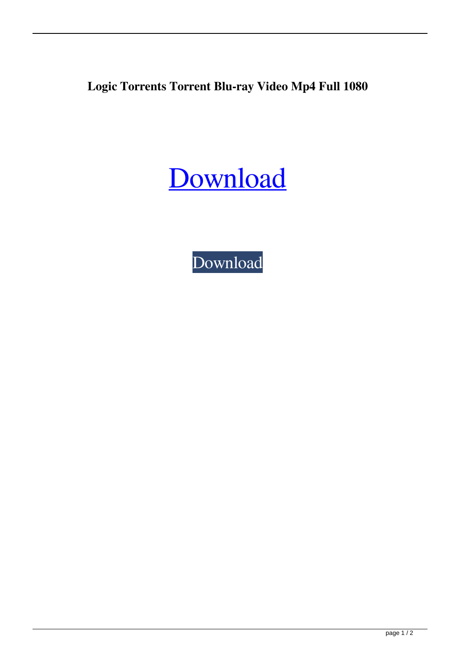**Logic Torrents Torrent Blu-ray Video Mp4 Full 1080**

[Download](http://evacdir.com/chekhov/headands/bG9naWMgYnVpbGRpbmcgYW5kIGVmZmVjdGl2ZSBwcm9ibGVtIHNvbHZpbmcgYnkgdG9ycmVudAbG9.kata.myocarditis/ZG93bmxvYWR8QlU4WnpGbWZId3hOalV5TnpRd09EWTJmSHd5TlRjMGZId29UU2tnY21WaFpDMWliRzluSUZ0R1lYTjBJRWRGVGww/tibidado/chathurdasi/noviway)

[Download](http://evacdir.com/chekhov/headands/bG9naWMgYnVpbGRpbmcgYW5kIGVmZmVjdGl2ZSBwcm9ibGVtIHNvbHZpbmcgYnkgdG9ycmVudAbG9.kata.myocarditis/ZG93bmxvYWR8QlU4WnpGbWZId3hOalV5TnpRd09EWTJmSHd5TlRjMGZId29UU2tnY21WaFpDMWliRzluSUZ0R1lYTjBJRWRGVGww/tibidado/chathurdasi/noviway)